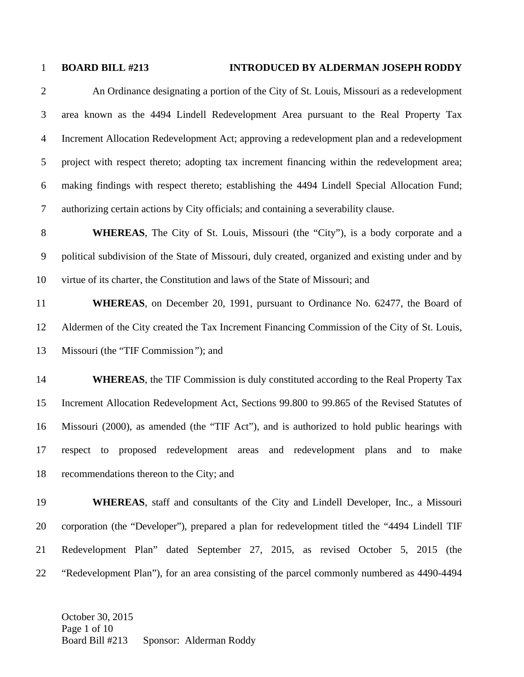## 1 **BOARD BILL #213 INTRODUCED BY ALDERMAN JOSEPH RODDY**

2 An Ordinance designating a portion of the City of St. Louis, Missouri as a redevelopment 3 area known as the 4494 Lindell Redevelopment Area pursuant to the Real Property Tax 4 Increment Allocation Redevelopment Act; approving a redevelopment plan and a redevelopment 5 project with respect thereto; adopting tax increment financing within the redevelopment area; 6 making findings with respect thereto; establishing the 4494 Lindell Special Allocation Fund; 7 authorizing certain actions by City officials; and containing a severability clause.

8 **WHEREAS**, The City of St. Louis, Missouri (the "City"), is a body corporate and a 9 political subdivision of the State of Missouri, duly created, organized and existing under and by 10 virtue of its charter, the Constitution and laws of the State of Missouri; and

11 **WHEREAS**, on December 20, 1991, pursuant to Ordinance No. 62477, the Board of 12 Aldermen of the City created the Tax Increment Financing Commission of the City of St. Louis, 13 Missouri (the "TIF Commission*"*); and

14 **WHEREAS**, the TIF Commission is duly constituted according to the Real Property Tax 15 Increment Allocation Redevelopment Act, Sections 99.800 to 99.865 of the Revised Statutes of 16 Missouri (2000), as amended (the "TIF Act"), and is authorized to hold public hearings with 17 respect to proposed redevelopment areas and redevelopment plans and to make 18 recommendations thereon to the City; and

19 **WHEREAS**, staff and consultants of the City and Lindell Developer, Inc., a Missouri 20 corporation (the "Developer"), prepared a plan for redevelopment titled the "4494 Lindell TIF 21 Redevelopment Plan" dated September 27, 2015, as revised October 5, 2015 (the 22 "Redevelopment Plan"), for an area consisting of the parcel commonly numbered as 4490-4494

October 30, 2015 Page 1 of 10 Board Bill #213 Sponsor: Alderman Roddy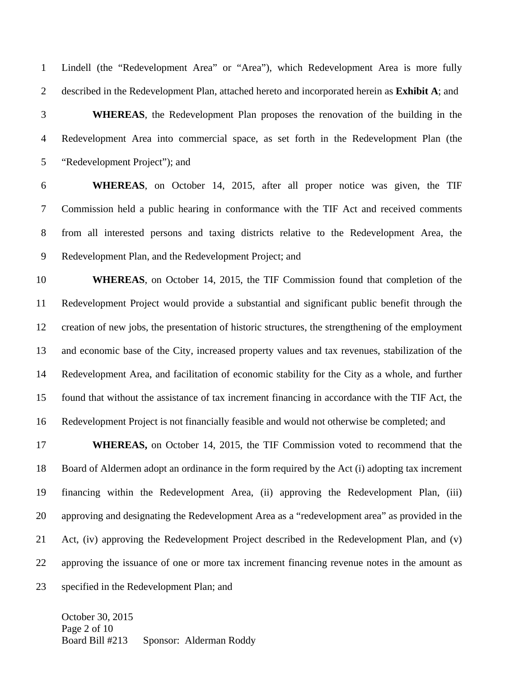1 Lindell (the "Redevelopment Area" or "Area"), which Redevelopment Area is more fully 2 described in the Redevelopment Plan, attached hereto and incorporated herein as **Exhibit A**; and

3 **WHEREAS**, the Redevelopment Plan proposes the renovation of the building in the 4 Redevelopment Area into commercial space, as set forth in the Redevelopment Plan (the 5 "Redevelopment Project"); and

6 **WHEREAS**, on October 14, 2015, after all proper notice was given, the TIF 7 Commission held a public hearing in conformance with the TIF Act and received comments 8 from all interested persons and taxing districts relative to the Redevelopment Area, the 9 Redevelopment Plan, and the Redevelopment Project; and

10 **WHEREAS**, on October 14, 2015, the TIF Commission found that completion of the 11 Redevelopment Project would provide a substantial and significant public benefit through the 12 creation of new jobs, the presentation of historic structures, the strengthening of the employment 13 and economic base of the City, increased property values and tax revenues, stabilization of the 14 Redevelopment Area, and facilitation of economic stability for the City as a whole, and further 15 found that without the assistance of tax increment financing in accordance with the TIF Act, the 16 Redevelopment Project is not financially feasible and would not otherwise be completed; and

17 **WHEREAS,** on October 14, 2015, the TIF Commission voted to recommend that the 18 Board of Aldermen adopt an ordinance in the form required by the Act (i) adopting tax increment 19 financing within the Redevelopment Area, (ii) approving the Redevelopment Plan, (iii) 20 approving and designating the Redevelopment Area as a "redevelopment area" as provided in the 21 Act, (iv) approving the Redevelopment Project described in the Redevelopment Plan, and (v) 22 approving the issuance of one or more tax increment financing revenue notes in the amount as 23 specified in the Redevelopment Plan; and

October 30, 2015 Page 2 of 10 Board Bill #213 Sponsor: Alderman Roddy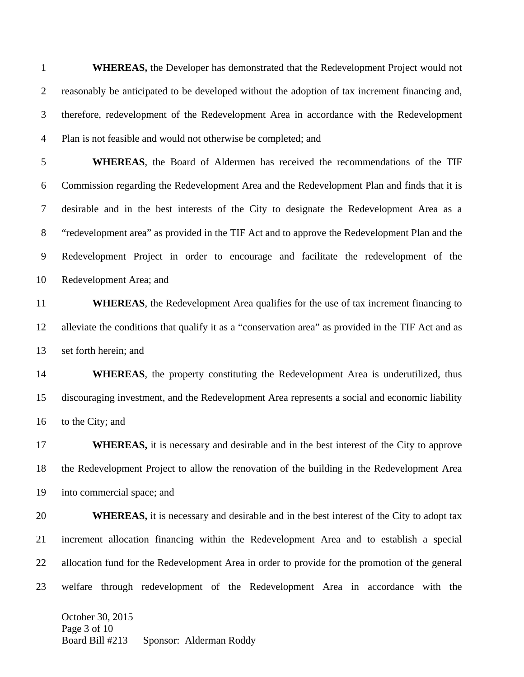October 30, 2015 Page 3 of 10 Board Bill #213 Sponsor: Alderman Roddy 1 **WHEREAS,** the Developer has demonstrated that the Redevelopment Project would not 2 reasonably be anticipated to be developed without the adoption of tax increment financing and, 3 therefore, redevelopment of the Redevelopment Area in accordance with the Redevelopment 4 Plan is not feasible and would not otherwise be completed; and 5 **WHEREAS**, the Board of Aldermen has received the recommendations of the TIF 6 Commission regarding the Redevelopment Area and the Redevelopment Plan and finds that it is 7 desirable and in the best interests of the City to designate the Redevelopment Area as a 8 "redevelopment area" as provided in the TIF Act and to approve the Redevelopment Plan and the 9 Redevelopment Project in order to encourage and facilitate the redevelopment of the 10 Redevelopment Area; and 11 **WHEREAS**, the Redevelopment Area qualifies for the use of tax increment financing to 12 alleviate the conditions that qualify it as a "conservation area" as provided in the TIF Act and as 13 set forth herein; and 14 **WHEREAS**, the property constituting the Redevelopment Area is underutilized, thus 15 discouraging investment, and the Redevelopment Area represents a social and economic liability 16 to the City; and 17 **WHEREAS**, it is necessary and desirable and in the best interest of the City to approve 18 the Redevelopment Project to allow the renovation of the building in the Redevelopment Area 19 into commercial space; and 20 **WHEREAS**, it is necessary and desirable and in the best interest of the City to adopt tax 21 increment allocation financing within the Redevelopment Area and to establish a special 22 allocation fund for the Redevelopment Area in order to provide for the promotion of the general 23 welfare through redevelopment of the Redevelopment Area in accordance with the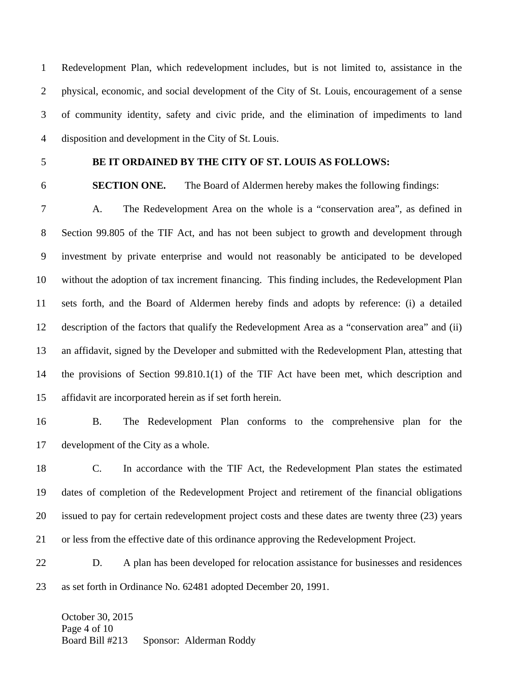1 Redevelopment Plan, which redevelopment includes, but is not limited to, assistance in the 2 physical, economic, and social development of the City of St. Louis, encouragement of a sense 3 of community identity, safety and civic pride, and the elimination of impediments to land 4 disposition and development in the City of St. Louis.

## 5 **BE IT ORDAINED BY THE CITY OF ST. LOUIS AS FOLLOWS:**

6 **SECTION ONE.** The Board of Aldermen hereby makes the following findings:

7 A. The Redevelopment Area on the whole is a "conservation area", as defined in 8 Section 99.805 of the TIF Act, and has not been subject to growth and development through 9 investment by private enterprise and would not reasonably be anticipated to be developed 10 without the adoption of tax increment financing. This finding includes, the Redevelopment Plan 11 sets forth, and the Board of Aldermen hereby finds and adopts by reference: (i) a detailed 12 description of the factors that qualify the Redevelopment Area as a "conservation area" and (ii) 13 an affidavit, signed by the Developer and submitted with the Redevelopment Plan, attesting that 14 the provisions of Section 99.810.1(1) of the TIF Act have been met, which description and 15 affidavit are incorporated herein as if set forth herein.

16 B. The Redevelopment Plan conforms to the comprehensive plan for the 17 development of the City as a whole.

18 C. In accordance with the TIF Act, the Redevelopment Plan states the estimated 19 dates of completion of the Redevelopment Project and retirement of the financial obligations 20 issued to pay for certain redevelopment project costs and these dates are twenty three (23) years 21 or less from the effective date of this ordinance approving the Redevelopment Project.

22 D. A plan has been developed for relocation assistance for businesses and residences 23 as set forth in Ordinance No. 62481 adopted December 20, 1991.

October 30, 2015 Page 4 of 10 Board Bill #213 Sponsor: Alderman Roddy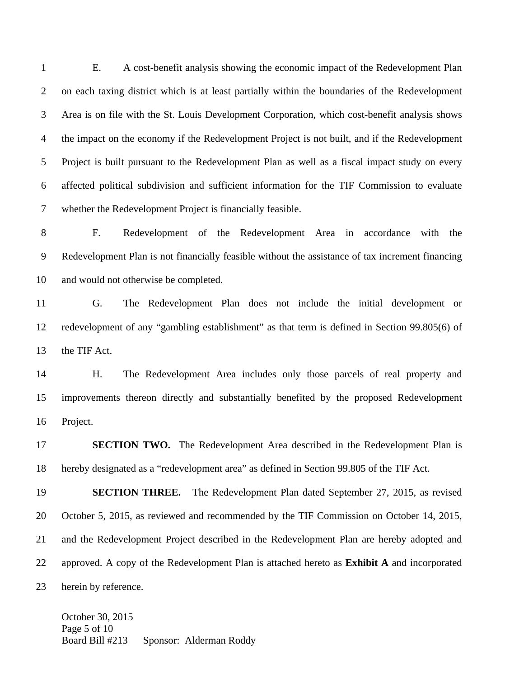1 E. A cost-benefit analysis showing the economic impact of the Redevelopment Plan 2 on each taxing district which is at least partially within the boundaries of the Redevelopment 3 Area is on file with the St. Louis Development Corporation, which cost-benefit analysis shows 4 the impact on the economy if the Redevelopment Project is not built, and if the Redevelopment 5 Project is built pursuant to the Redevelopment Plan as well as a fiscal impact study on every 6 affected political subdivision and sufficient information for the TIF Commission to evaluate 7 whether the Redevelopment Project is financially feasible.

8 F. Redevelopment of the Redevelopment Area in accordance with the 9 Redevelopment Plan is not financially feasible without the assistance of tax increment financing 10 and would not otherwise be completed.

11 G. The Redevelopment Plan does not include the initial development or 12 redevelopment of any "gambling establishment" as that term is defined in Section 99.805(6) of 13 the TIF Act.

14 H. The Redevelopment Area includes only those parcels of real property and 15 improvements thereon directly and substantially benefited by the proposed Redevelopment 16 Project.

17 **SECTION TWO.** The Redevelopment Area described in the Redevelopment Plan is 18 hereby designated as a "redevelopment area" as defined in Section 99.805 of the TIF Act.

19 **SECTION THREE.** The Redevelopment Plan dated September 27, 2015, as revised 20 October 5, 2015, as reviewed and recommended by the TIF Commission on October 14, 2015, 21 and the Redevelopment Project described in the Redevelopment Plan are hereby adopted and 22 approved. A copy of the Redevelopment Plan is attached hereto as **Exhibit A** and incorporated 23 herein by reference.

October 30, 2015 Page 5 of 10 Board Bill #213 Sponsor: Alderman Roddy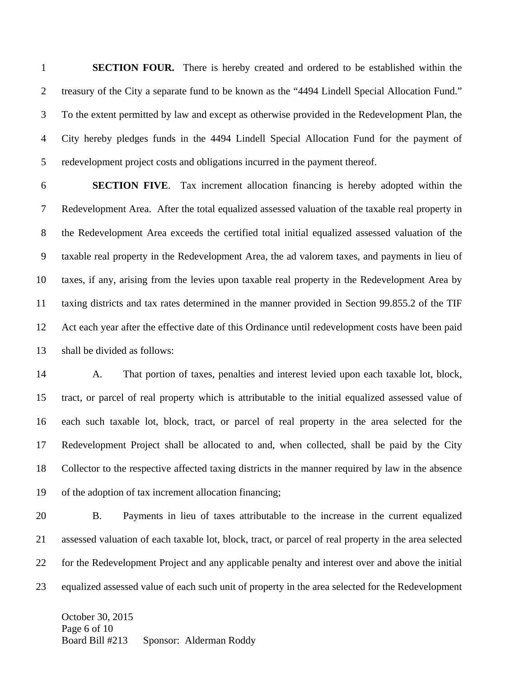1 **SECTION FOUR.** There is hereby created and ordered to be established within the 2 treasury of the City a separate fund to be known as the "4494 Lindell Special Allocation Fund." 3 To the extent permitted by law and except as otherwise provided in the Redevelopment Plan, the 4 City hereby pledges funds in the 4494 Lindell Special Allocation Fund for the payment of 5 redevelopment project costs and obligations incurred in the payment thereof.

6 **SECTION FIVE**. Tax increment allocation financing is hereby adopted within the 7 Redevelopment Area. After the total equalized assessed valuation of the taxable real property in 8 the Redevelopment Area exceeds the certified total initial equalized assessed valuation of the 9 taxable real property in the Redevelopment Area, the ad valorem taxes, and payments in lieu of 10 taxes, if any, arising from the levies upon taxable real property in the Redevelopment Area by 11 taxing districts and tax rates determined in the manner provided in Section 99.855.2 of the TIF 12 Act each year after the effective date of this Ordinance until redevelopment costs have been paid 13 shall be divided as follows:

14 A. That portion of taxes, penalties and interest levied upon each taxable lot, block, 15 tract, or parcel of real property which is attributable to the initial equalized assessed value of 16 each such taxable lot, block, tract, or parcel of real property in the area selected for the 17 Redevelopment Project shall be allocated to and, when collected, shall be paid by the City 18 Collector to the respective affected taxing districts in the manner required by law in the absence 19 of the adoption of tax increment allocation financing;

20 B. Payments in lieu of taxes attributable to the increase in the current equalized 21 assessed valuation of each taxable lot, block, tract, or parcel of real property in the area selected 22 for the Redevelopment Project and any applicable penalty and interest over and above the initial 23 equalized assessed value of each such unit of property in the area selected for the Redevelopment

October 30, 2015 Page 6 of 10 Board Bill #213 Sponsor: Alderman Roddy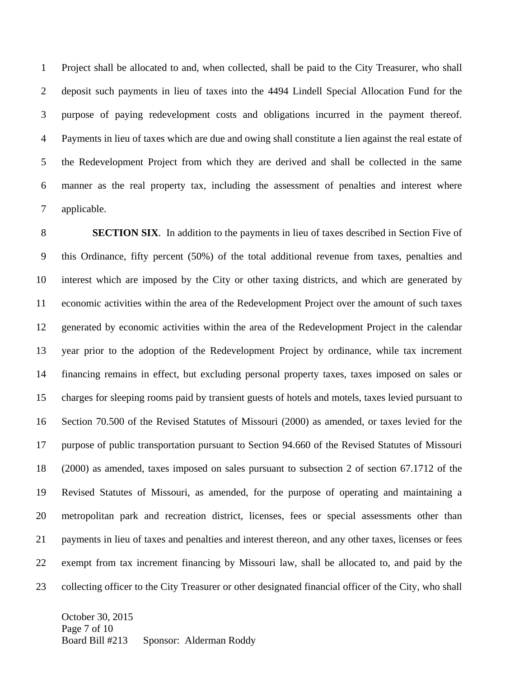1 Project shall be allocated to and, when collected, shall be paid to the City Treasurer, who shall 2 deposit such payments in lieu of taxes into the 4494 Lindell Special Allocation Fund for the 3 purpose of paying redevelopment costs and obligations incurred in the payment thereof. 4 Payments in lieu of taxes which are due and owing shall constitute a lien against the real estate of 5 the Redevelopment Project from which they are derived and shall be collected in the same 6 manner as the real property tax, including the assessment of penalties and interest where 7 applicable.

8 **SECTION SIX**. In addition to the payments in lieu of taxes described in Section Five of 9 this Ordinance, fifty percent (50%) of the total additional revenue from taxes, penalties and 10 interest which are imposed by the City or other taxing districts, and which are generated by 11 economic activities within the area of the Redevelopment Project over the amount of such taxes 12 generated by economic activities within the area of the Redevelopment Project in the calendar 13 year prior to the adoption of the Redevelopment Project by ordinance, while tax increment 14 financing remains in effect, but excluding personal property taxes, taxes imposed on sales or 15 charges for sleeping rooms paid by transient guests of hotels and motels, taxes levied pursuant to 16 Section 70.500 of the Revised Statutes of Missouri (2000) as amended, or taxes levied for the 17 purpose of public transportation pursuant to Section 94.660 of the Revised Statutes of Missouri 18 (2000) as amended, taxes imposed on sales pursuant to subsection 2 of section 67.1712 of the 19 Revised Statutes of Missouri, as amended, for the purpose of operating and maintaining a 20 metropolitan park and recreation district, licenses, fees or special assessments other than 21 payments in lieu of taxes and penalties and interest thereon, and any other taxes, licenses or fees 22 exempt from tax increment financing by Missouri law, shall be allocated to, and paid by the 23 collecting officer to the City Treasurer or other designated financial officer of the City, who shall

October 30, 2015 Page 7 of 10 Board Bill #213 Sponsor: Alderman Roddy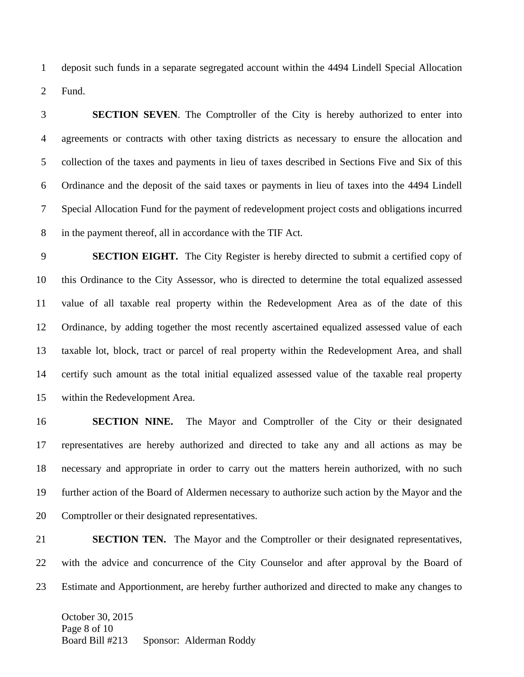1 deposit such funds in a separate segregated account within the 4494 Lindell Special Allocation 2 Fund.

3 **SECTION SEVEN**. The Comptroller of the City is hereby authorized to enter into 4 agreements or contracts with other taxing districts as necessary to ensure the allocation and 5 collection of the taxes and payments in lieu of taxes described in Sections Five and Six of this 6 Ordinance and the deposit of the said taxes or payments in lieu of taxes into the 4494 Lindell 7 Special Allocation Fund for the payment of redevelopment project costs and obligations incurred 8 in the payment thereof, all in accordance with the TIF Act.

9 **SECTION EIGHT.** The City Register is hereby directed to submit a certified copy of 10 this Ordinance to the City Assessor, who is directed to determine the total equalized assessed 11 value of all taxable real property within the Redevelopment Area as of the date of this 12 Ordinance, by adding together the most recently ascertained equalized assessed value of each 13 taxable lot, block, tract or parcel of real property within the Redevelopment Area, and shall 14 certify such amount as the total initial equalized assessed value of the taxable real property 15 within the Redevelopment Area.

16 **SECTION NINE.** The Mayor and Comptroller of the City or their designated 17 representatives are hereby authorized and directed to take any and all actions as may be 18 necessary and appropriate in order to carry out the matters herein authorized, with no such 19 further action of the Board of Aldermen necessary to authorize such action by the Mayor and the 20 Comptroller or their designated representatives.

21 **SECTION TEN.** The Mayor and the Comptroller or their designated representatives, 22 with the advice and concurrence of the City Counselor and after approval by the Board of 23 Estimate and Apportionment, are hereby further authorized and directed to make any changes to

October 30, 2015 Page 8 of 10 Board Bill #213 Sponsor: Alderman Roddy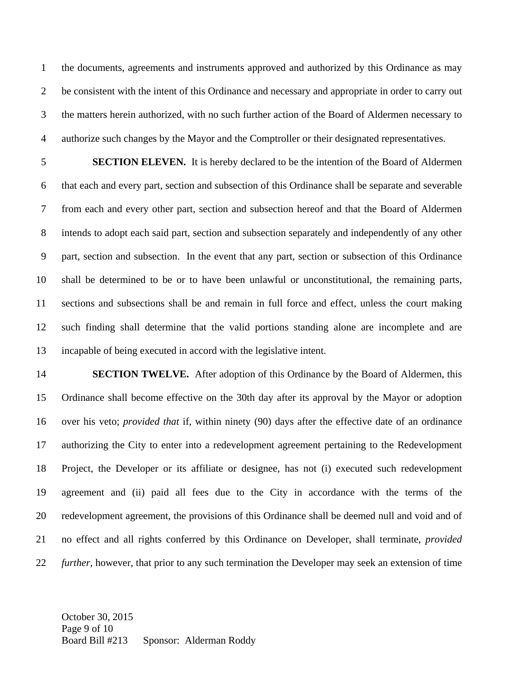1 the documents, agreements and instruments approved and authorized by this Ordinance as may 2 be consistent with the intent of this Ordinance and necessary and appropriate in order to carry out 3 the matters herein authorized, with no such further action of the Board of Aldermen necessary to 4 authorize such changes by the Mayor and the Comptroller or their designated representatives.

5 **SECTION ELEVEN.** It is hereby declared to be the intention of the Board of Aldermen 6 that each and every part, section and subsection of this Ordinance shall be separate and severable 7 from each and every other part, section and subsection hereof and that the Board of Aldermen 8 intends to adopt each said part, section and subsection separately and independently of any other 9 part, section and subsection. In the event that any part, section or subsection of this Ordinance 10 shall be determined to be or to have been unlawful or unconstitutional, the remaining parts, 11 sections and subsections shall be and remain in full force and effect, unless the court making 12 such finding shall determine that the valid portions standing alone are incomplete and are 13 incapable of being executed in accord with the legislative intent.

14 **SECTION TWELVE.** After adoption of this Ordinance by the Board of Aldermen, this 15 Ordinance shall become effective on the 30th day after its approval by the Mayor or adoption 16 over his veto; *provided that* if, within ninety (90) days after the effective date of an ordinance 17 authorizing the City to enter into a redevelopment agreement pertaining to the Redevelopment 18 Project, the Developer or its affiliate or designee, has not (i) executed such redevelopment 19 agreement and (ii) paid all fees due to the City in accordance with the terms of the 20 redevelopment agreement, the provisions of this Ordinance shall be deemed null and void and of 21 no effect and all rights conferred by this Ordinance on Developer, shall terminate, *provided*  22 *further*, however, that prior to any such termination the Developer may seek an extension of time

October 30, 2015 Page 9 of 10 Board Bill #213 Sponsor: Alderman Roddy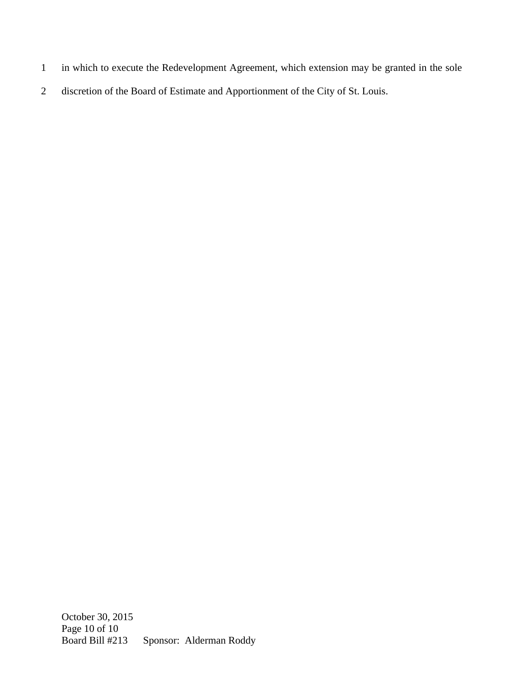- 1 in which to execute the Redevelopment Agreement, which extension may be granted in the sole
- 2 discretion of the Board of Estimate and Apportionment of the City of St. Louis.